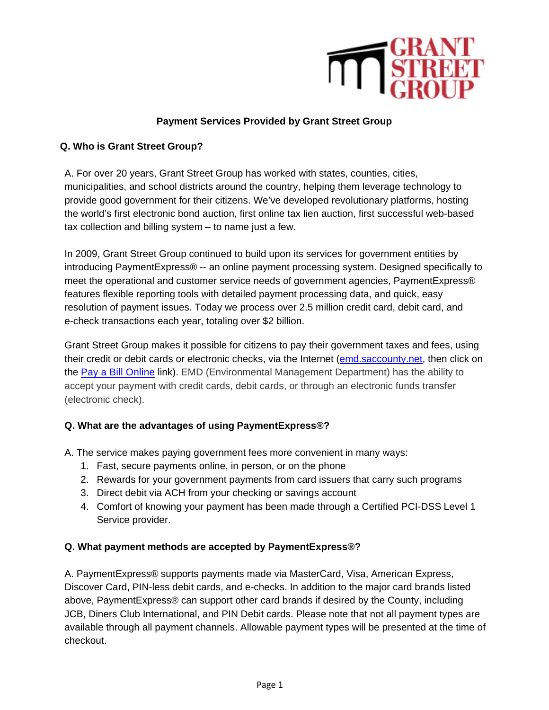

# **Payment Services Provided by Grant Street Group**

#### **Q. Who is Grant Street Group?**

A. For over 20 years, Grant Street Group has worked with states, counties, cities, municipalities, and school districts around the country, helping them leverage technology to provide good government for their citizens. We've developed revolutionary platforms, hosting the world's first electronic bond auction, first online tax lien auction, first successful web-based tax collection and billing system – to name just a few.

In 2009, Grant Street Group continued to build upon its services for government entities by introducing PaymentExpress® -- an online payment processing system. Designed specifically to meet the operational and customer service needs of government agencies, PaymentExpress® features flexible reporting tools with detailed payment processing data, and quick, easy resolution of payment issues. Today we process over 2.5 million credit card, debit card, and e-check transactions each year, totaling over \$2 billion.

Grant Street Group makes it possible for citizens to pay their government taxes and fees, using their credit or debit cards or electronic checks, via the Internet (emd.saccounty.net, then click on the Pay a Bill Online link). EMD (Environmental Management Department) has the ability to accept your payment with credit cards, debit cards, or through an electronic funds transfer (electronic check).

# **Q. What are the advantages of using PaymentExpress®?**

A. The service makes paying government fees more convenient in many ways:

- 1. Fast, secure payments online, in person, or on the phone
- 2. Rewards for your government payments from card issuers that carry such programs
- 3. Direct debit via ACH from your checking or savings account
- 4. Comfort of knowing your payment has been made through a Certified PCI-DSS Level 1 Service provider.

#### **Q. What payment methods are accepted by PaymentExpress®?**

A. PaymentExpress® supports payments made via MasterCard, Visa, American Express, Discover Card, PIN-less debit cards, and e-checks. In addition to the major card brands listed above, PaymentExpress® can support other card brands if desired by the County, including JCB, Diners Club International, and PIN Debit cards. Please note that not all payment types are available through all payment channels. Allowable payment types will be presented at the time of checkout.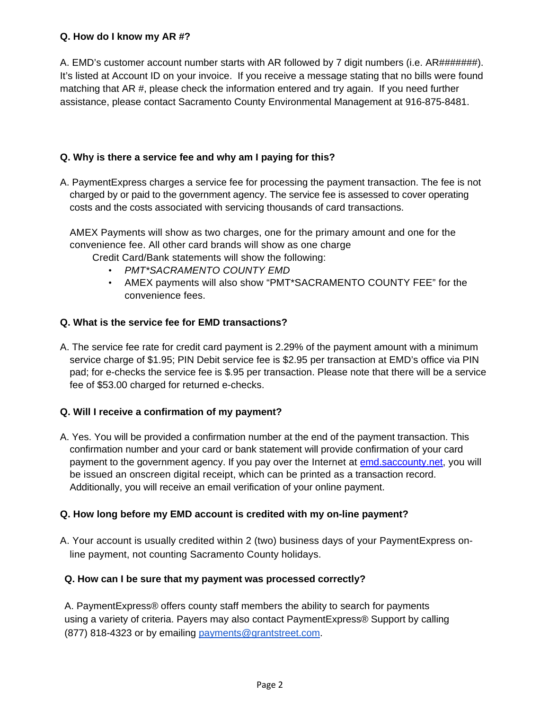#### **Q. How do I know my AR #?**

A. EMD's customer account number starts with AR followed by 7 digit numbers (i.e. AR#######). It's listed at Account ID on your invoice. If you receive a message stating that no bills were found matching that AR #, please check the information entered and try again. If you need further assistance, please contact Sacramento County Environmental Management at 916-875-8481.

# **Q. Why is there a service fee and why am I paying for this?**

A. PaymentExpress charges a service fee for processing the payment transaction. The fee is not charged by or paid to the government agency. The service fee is assessed to cover operating costs and the costs associated with servicing thousands of card transactions.

AMEX Payments will show as two charges, one for the primary amount and one for the convenience fee. All other card brands will show as one charge

Credit Card/Bank statements will show the following:

- *PMT\*SACRAMENTO COUNTY EMD*
- AMEX payments will also show "PMT\*SACRAMENTO COUNTY FEE" for the convenience fees.

# **Q. What is the service fee for EMD transactions?**

A. The service fee rate for credit card payment is 2.29% of the payment amount with a minimum service charge of \$1.95; PIN Debit service fee is \$2.95 per transaction at EMD's office via PIN pad; for e-checks the service fee is \$.95 per transaction. Please note that there will be a service fee of \$53.00 charged for returned e-checks.

# **Q. Will I receive a confirmation of my payment?**

A. Yes. You will be provided a confirmation number at the end of the payment transaction. This confirmation number and your card or bank statement will provide confirmation of your card payment to the government agency. If you pay over the Internet at emd.saccounty.net, you will be issued an onscreen digital receipt, which can be printed as a transaction record. Additionally, you will receive an email verification of your online payment.

# **Q. How long before my EMD account is credited with my on-line payment?**

A. Your account is usually credited within 2 (two) business days of your PaymentExpress online payment, not counting Sacramento County holidays.

# **Q. How can I be sure that my payment was processed correctly?**

A. PaymentExpress® offers county staff members the ability to search for payments using a variety of criteria. Payers may also contact PaymentExpress® Support by calling (877) 818-4323 or by emailing payments@grantstreet.com.